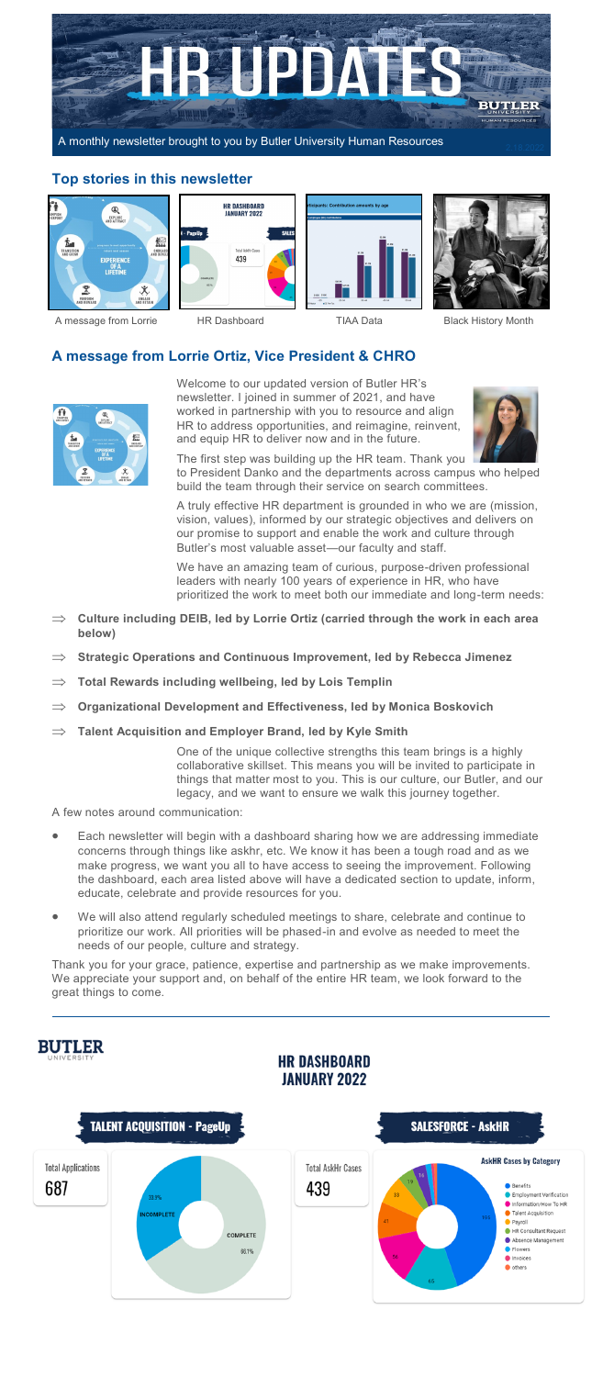

## **Top stories in this newsletter**







### A message from Lorrie **HR Dashboard** TIAA Data Black History Month

# **A message from Lorrie Ortiz, Vice President & CHRO**



Welcome to our updated version of Butler HR's newsletter. I joined in summer of 2021, and have worked in partnership with you to resource and align HR to address opportunities, and reimagine, reinvent, and equip HR to deliver now and in the future.



The first step was building up the HR team. Thank you to President Danko and the departments across campus who helped build the team through their service on search committees.

A truly effective HR department is grounded in who we are (mission, vision, values), informed by our strategic objectives and delivers on our promise to support and enable the work and culture through Butler's most valuable asset—our faculty and staff.

We have an amazing team of curious, purpose-driven professional leaders with nearly 100 years of experience in HR, who have prioritized the work to meet both our immediate and long-term needs:

- **Culture including DEIB, led by Lorrie Ortiz (carried through the work in each area below)**
- **Strategic Operations and Continuous Improvement, led by Rebecca Jimenez**
- **Total Rewards including wellbeing, led by Lois Templin**
- **Organizational Development and Effectiveness, led by Monica Boskovich**
- **Talent Acquisition and Employer Brand, led by Kyle Smith**

One of the unique collective strengths this team brings is a highly collaborative skillset. This means you will be invited to participate in things that matter most to you. This is our culture, our Butler, and our legacy, and we want to ensure we walk this journey together.

A few notes around communication:

- Each newsletter will begin with a dashboard sharing how we are addressing immediate concerns through things like askhr, etc. We know it has been a tough road and as we make progress, we want you all to have access to seeing the improvement. Following the dashboard, each area listed above will have a dedicated section to update, inform, educate, celebrate and provide resources for you.
- We will also attend regularly scheduled meetings to share, celebrate and continue to prioritize our work. All priorities will be phased-in and evolve as needed to meet the needs of our people, culture and strategy.

Thank you for your grace, patience, expertise and partnership as we make improvements. We appreciate your support and, on behalf of the entire HR team, we look forward to the great things to come.

# **BUTLER**

## **HR DASHBOARD JANUARY 2022**

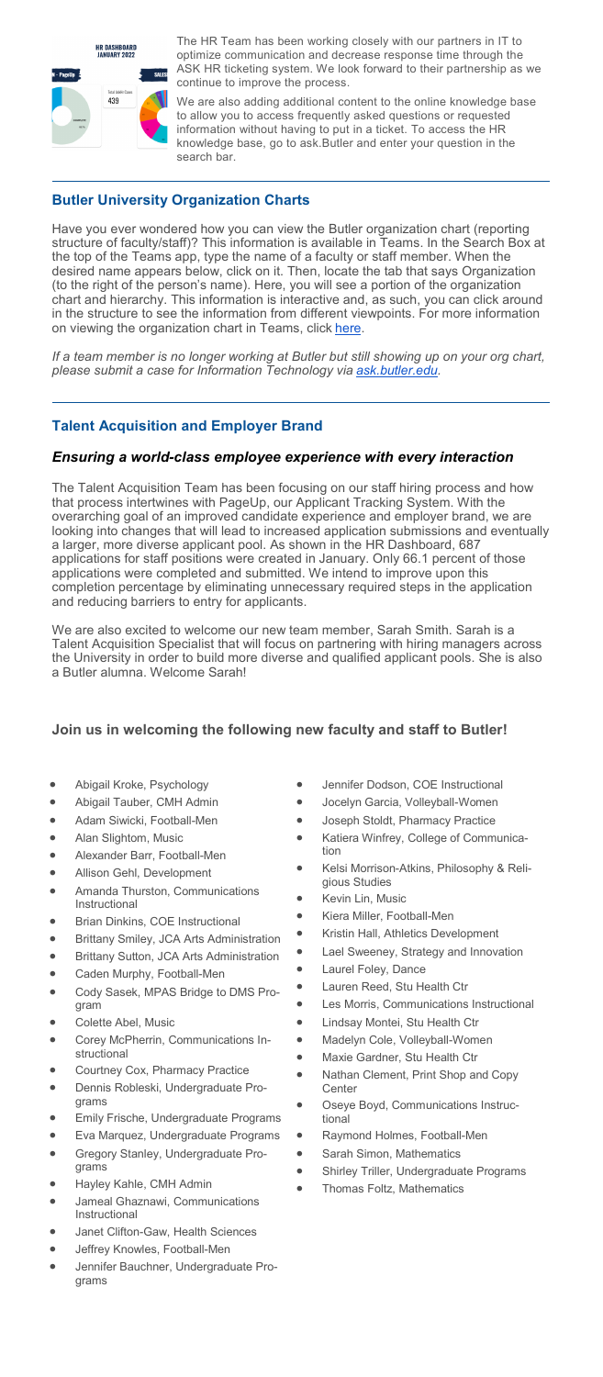

The HR Team has been working closely with our partners in IT to optimize communication and decrease response time through the ASK HR ticketing system. We look forward to their partnership as we continue to improve the process.

We are also adding additional content to the online knowledge base to allow you to access frequently asked questions or requested information without having to put in a ticket. To access the HR knowledge base, go to ask.Butler and enter your question in the search bar.

# **Butler University Organization Charts**

Have you ever wondered how you can view the Butler organization chart (reporting structure of faculty/staff)? This information is available in Teams. In the Search Box at the top of the Teams app, type the name of a faculty or staff member. When the desired name appears below, click on it. Then, locate the tab that says Organization (to the right of the person's name). Here, you will see a portion of the organization chart and hierarchy. This information is interactive and, as such, you can click around in the structure to see the information from different viewpoints. For more information on viewing the organization chart in Teams, click here.

*If a team member is no longer working at Butler but still showing up on your org chart, please submit a case for Information Technology via [ask.butler.edu.](https://butleru.force.com/askbutler/s/?t=1626006245264)* 

# **Talent Acquisition and Employer Brand**

## *Ensuring a world-class employee experience with every interaction*

The Talent Acquisition Team has been focusing on our staff hiring process and how that process intertwines with PageUp, our Applicant Tracking System. With the overarching goal of an improved candidate experience and employer brand, we are looking into changes that will lead to increased application submissions and eventually a larger, more diverse applicant pool. As shown in the HR Dashboard, 687 applications for staff positions were created in January. Only 66.1 percent of those applications were completed and submitted. We intend to improve upon this completion percentage by eliminating unnecessary required steps in the application and reducing barriers to entry for applicants.

We are also excited to welcome our new team member, Sarah Smith. Sarah is a Talent Acquisition Specialist that will focus on partnering with hiring managers across the University in order to build more diverse and qualified applicant pools. She is also a Butler alumna. Welcome Sarah!

# **Join us in welcoming the following new faculty and staff to Butler!**

- Abigail Kroke, Psychology
- Abigail Tauber, CMH Admin
- Adam Siwicki, Football-Men
- Alan Slightom, Music
- Alexander Barr, Football-Men
- Allison Gehl, Development
- Amanda Thurston, Communications Instructional
- Brian Dinkins, COE Instructional
- Brittany Smiley, JCA Arts Administration
- Brittany Sutton, JCA Arts Administration
- Caden Murphy, Football-Men
- Cody Sasek, MPAS Bridge to DMS Program
- Colette Abel, Music
- Corey McPherrin, Communications Instructional
- Courtney Cox, Pharmacy Practice
- Dennis Robleski, Undergraduate Programs
- Emily Frische, Undergraduate Programs
- Eva Marquez, Undergraduate Programs
- Gregory Stanley, Undergraduate Programs
- Hayley Kahle, CMH Admin
- Jameal Ghaznawi, Communications Instructional
- Janet Clifton-Gaw, Health Sciences
- Jeffrey Knowles, Football-Men
- Jennifer Bauchner, Undergraduate Programs
- Jennifer Dodson, COE Instructional
- Jocelyn Garcia, Volleyball-Women
- Joseph Stoldt, Pharmacy Practice
- Katiera Winfrey, College of Communication
- Kelsi Morrison-Atkins, Philosophy & Religious Studies
- Kevin Lin, Music
- Kiera Miller, Football-Men
- Kristin Hall, Athletics Development
- Lael Sweeney, Strategy and Innovation
- Laurel Foley, Dance
- Lauren Reed, Stu Health Ctr
- Les Morris, Communications Instructional
- Lindsay Montei, Stu Health Ctr
- Madelyn Cole, Volleyball-Women
- Maxie Gardner, Stu Health Ctr
- Nathan Clement, Print Shop and Copy **Center**
- Oseye Boyd, Communications Instructional
- Raymond Holmes, Football-Men
- Sarah Simon, Mathematics
	- Shirley Triller, Undergraduate Programs
- Thomas Foltz, Mathematics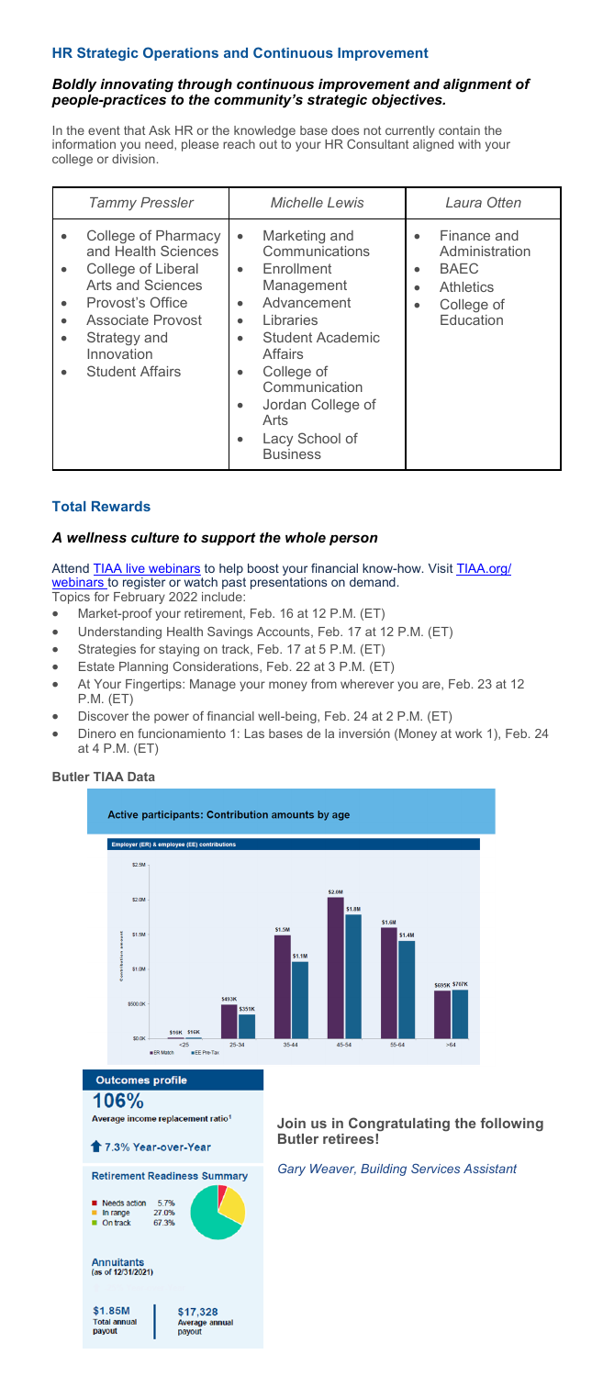# **HR Strategic Operations and Continuous Improvement**

## *Boldly innovating through continuous improvement and alignment of people-practices to the community's strategic objectives.*

In the event that Ask HR or the knowledge base does not currently contain the information you need, please reach out to your HR Consultant aligned with your college or division.

| <b>Tammy Pressler</b>                                                                                                                                                                                                                                          | <b>Michelle Lewis</b>                                                                                                                                                                                                                                                                                                         | Laura Otten                                                                                                                                     |
|----------------------------------------------------------------------------------------------------------------------------------------------------------------------------------------------------------------------------------------------------------------|-------------------------------------------------------------------------------------------------------------------------------------------------------------------------------------------------------------------------------------------------------------------------------------------------------------------------------|-------------------------------------------------------------------------------------------------------------------------------------------------|
| College of Pharmacy<br>$\bullet$<br>and Health Sciences<br>College of Liberal<br>$\bullet$<br>Arts and Sciences<br>Provost's Office<br>$\bullet$<br><b>Associate Provost</b><br>$\bullet$<br>Strategy and<br>$\bullet$<br>Innovation<br><b>Student Affairs</b> | Marketing and<br>$\bullet$<br>Communications<br>Enrollment<br>$\bullet$<br>Management<br>Advancement<br>$\bullet$<br>Libraries<br>$\bullet$<br><b>Student Academic</b><br>$\bullet$<br><b>Affairs</b><br>College of<br>$\bullet$<br>Communication<br>Jordan College of<br>٠<br>Arts<br>Lacy School of<br>٠<br><b>Business</b> | Finance and<br>$\bullet$<br>Administration<br><b>BAEC</b><br>$\bullet$<br><b>Athletics</b><br>$\bullet$<br>College of<br>$\bullet$<br>Education |

# **Total Rewards**

## *A wellness culture to support the whole person*

Attend **TIAA live webinars** to help boost your financial know-how. Visit **[TIAA.org/](https://click.engagement.butler.edu/?qs=cd645ed7c7dc8e91cbc7a3d2f0e526e088ed56f43cb2092aa095414c9536a67c9624f29b23c3b0032af1a774ca7a3e648dd9bf344756987a)** [webinars t](https://click.engagement.butler.edu/?qs=cd645ed7c7dc8e91cbc7a3d2f0e526e088ed56f43cb2092aa095414c9536a67c9624f29b23c3b0032af1a774ca7a3e648dd9bf344756987a)o register or watch past presentations on demand.

- Topics for February 2022 include:
- Market-proof your retirement, Feb. 16 at 12 P.M. (ET)
- Understanding Health Savings Accounts, Feb. 17 at 12 P.M. (ET)
- Strategies for staying on track, Feb. 17 at 5 P.M. (ET)
- Estate Planning Considerations, Feb. 22 at 3 P.M. (ET)
- At Your Fingertips: Manage your money from wherever you are, Feb. 23 at 12 P.M. (ET)
- Discover the power of financial well-being, Feb. 24 at 2 P.M. (ET)
- Dinero en funcionamiento 1: Las bases de la inversión (Money at work 1), Feb. 24 at 4 P.M. (ET)

## **Butler TIAA Data**

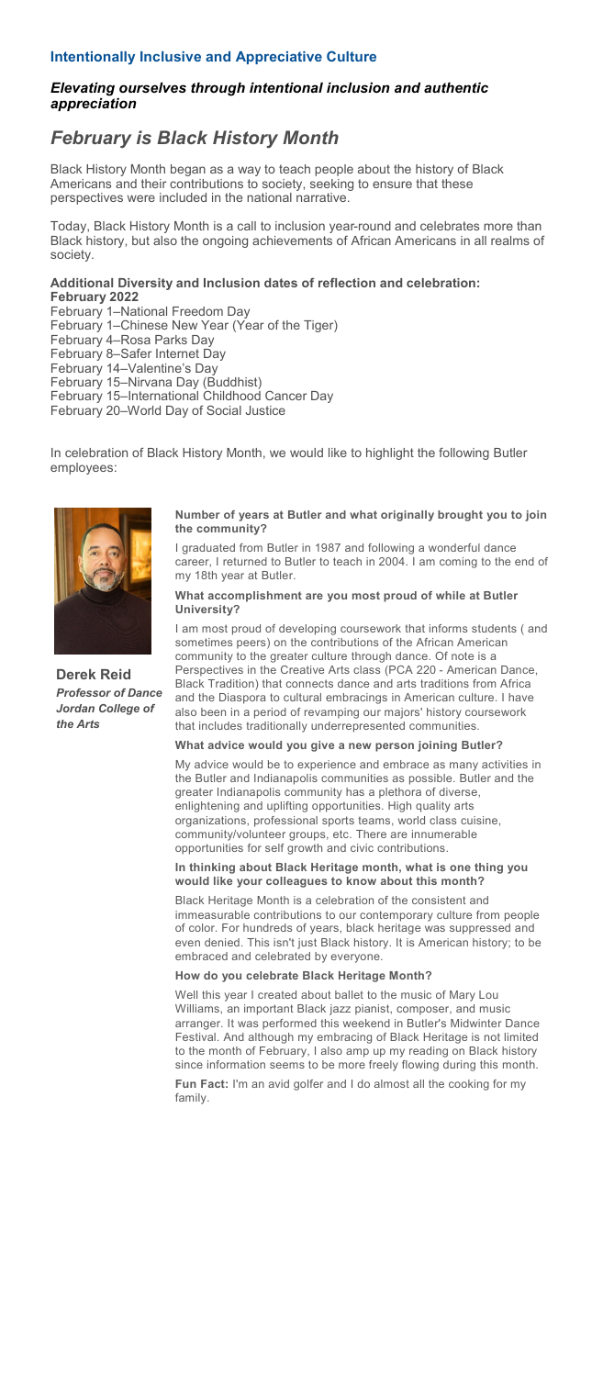## **Intentionally Inclusive and Appreciative Culture**

## *Elevating ourselves through intentional inclusion and authentic appreciation*

# *February is Black History Month*

Black History Month began as a way to teach people about the history of Black Americans and their contributions to society, seeking to ensure that these perspectives were included in the national narrative.

Today, Black History Month is a call to inclusion year-round and celebrates more than Black history, but also the ongoing achievements of African Americans in all realms of society.

### **Additional Diversity and Inclusion dates of reflection and celebration: February 2022**

February 1-National Freedom Day

February 1–Chinese New Year (Year of the Tiger)

February 4‒Rosa Parks Day

February 8-Safer Internet Day

February 14-Valentine's Day

February 15–Nirvana Day (Buddhist) February 15‒International Childhood Cancer Day

February 20‒World Day of Social Justice

In celebration of Black History Month, we would like to highlight the following Butler employees:



**Derek Reid**  *Professor of Dance Jordan College of the Arts*

#### **Number of years at Butler and what originally brought you to join the community?**

I graduated from Butler in 1987 and following a wonderful dance career, I returned to Butler to teach in 2004. I am coming to the end of my 18th year at Butler.

### **What accomplishment are you most proud of while at Butler University?**

I am most proud of developing coursework that informs students ( and sometimes peers) on the contributions of the African American community to the greater culture through dance. Of note is a Perspectives in the Creative Arts class (PCA 220 - American Dance, Black Tradition) that connects dance and arts traditions from Africa and the Diaspora to cultural embracings in American culture. I have also been in a period of revamping our majors' history coursework that includes traditionally underrepresented communities.

### **What advice would you give a new person joining Butler?**

My advice would be to experience and embrace as many activities in the Butler and Indianapolis communities as possible. Butler and the greater Indianapolis community has a plethora of diverse, enlightening and uplifting opportunities. High quality arts organizations, professional sports teams, world class cuisine, community/volunteer groups, etc. There are innumerable opportunities for self growth and civic contributions.

### **In thinking about Black Heritage month, what is one thing you would like your colleagues to know about this month?**

Black Heritage Month is a celebration of the consistent and immeasurable contributions to our contemporary culture from people of color. For hundreds of years, black heritage was suppressed and even denied. This isn't just Black history. It is American history; to be embraced and celebrated by everyone.

### **How do you celebrate Black Heritage Month?**

Well this year I created about ballet to the music of Mary Lou Williams, an important Black jazz pianist, composer, and music arranger. It was performed this weekend in Butler's Midwinter Dance Festival. And although my embracing of Black Heritage is not limited to the month of February, I also amp up my reading on Black history since information seems to be more freely flowing during this month.

**Fun Fact:** I'm an avid golfer and I do almost all the cooking for my family.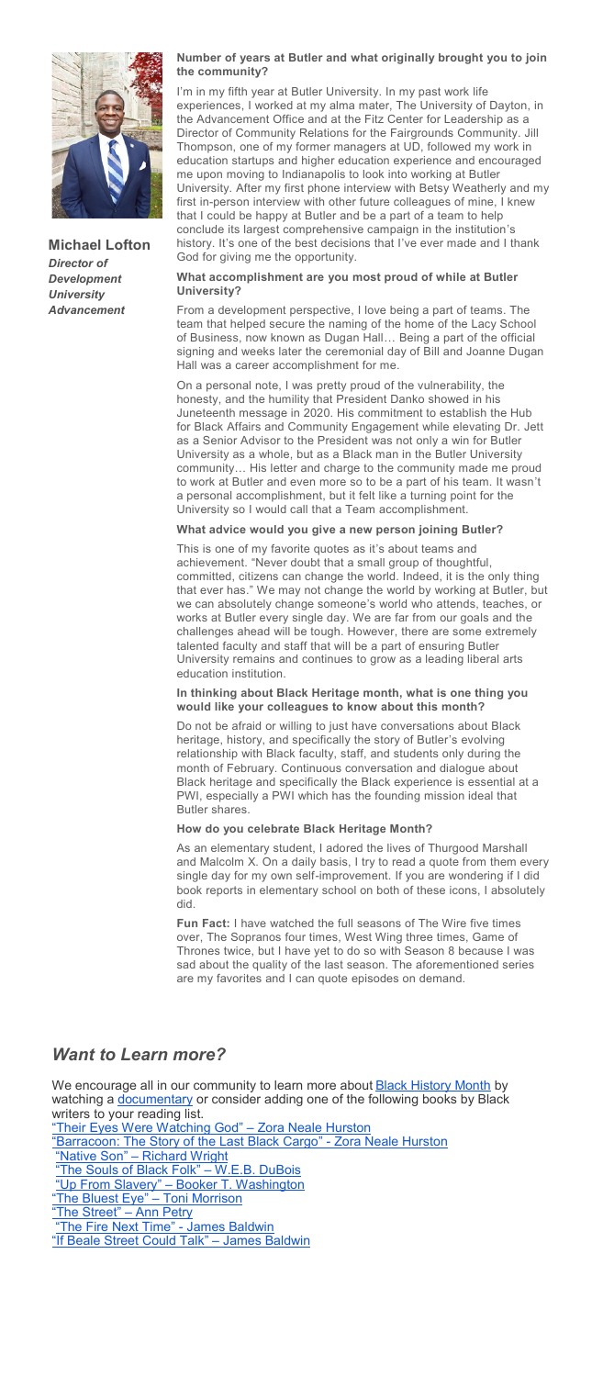

**Michael Lofton**  *Director of Development University Advancement*

### **Number of years at Butler and what originally brought you to join the community?**

I'm in my fifth year at Butler University. In my past work life experiences, I worked at my alma mater, The University of Dayton, in the Advancement Office and at the Fitz Center for Leadership as a Director of Community Relations for the Fairgrounds Community. Jill Thompson, one of my former managers at UD, followed my work in education startups and higher education experience and encouraged me upon moving to Indianapolis to look into working at Butler University. After my first phone interview with Betsy Weatherly and my first in-person interview with other future colleagues of mine, I knew that I could be happy at Butler and be a part of a team to help conclude its largest comprehensive campaign in the institution's history. It's one of the best decisions that I've ever made and I thank God for giving me the opportunity.

## **What accomplishment are you most proud of while at Butler University?**

From a development perspective, I love being a part of teams. The team that helped secure the naming of the home of the Lacy School of Business, now known as Dugan Hall… Being a part of the official signing and weeks later the ceremonial day of Bill and Joanne Dugan Hall was a career accomplishment for me.

On a personal note, I was pretty proud of the vulnerability, the honesty, and the humility that President Danko showed in his Juneteenth message in 2020. His commitment to establish the Hub for Black Affairs and Community Engagement while elevating Dr. Jett as a Senior Advisor to the President was not only a win for Butler University as a whole, but as a Black man in the Butler University community… His letter and charge to the community made me proud to work at Butler and even more so to be a part of his team. It wasn't a personal accomplishment, but it felt like a turning point for the University so I would call that a Team accomplishment.

### **What advice would you give a new person joining Butler?**

This is one of my favorite quotes as it's about teams and achievement. "Never doubt that a small group of thoughtful, committed, citizens can change the world. Indeed, it is the only thing that ever has." We may not change the world by working at Butler, but we can absolutely change someone's world who attends, teaches, or works at Butler every single day. We are far from our goals and the challenges ahead will be tough. However, there are some extremely talented faculty and staff that will be a part of ensuring Butler University remains and continues to grow as a leading liberal arts education institution.

### **In thinking about Black Heritage month, what is one thing you would like your colleagues to know about this month?**

Do not be afraid or willing to just have conversations about Black heritage, history, and specifically the story of Butler's evolving relationship with Black faculty, staff, and students only during the month of February. Continuous conversation and dialogue about Black heritage and specifically the Black experience is essential at a PWI, especially a PWI which has the founding mission ideal that Butler shares.

### **How do you celebrate Black Heritage Month?**

As an elementary student, I adored the lives of Thurgood Marshall and Malcolm X. On a daily basis, I try to read a quote from them every single day for my own self-improvement. If you are wondering if I did book reports in elementary school on both of these icons, I absolutely did.

**Fun Fact:** I have watched the full seasons of The Wire five times over, The Sopranos four times, West Wing three times, Game of Thrones twice, but I have yet to do so with Season 8 because I was sad about the quality of the last season. The aforementioned series are my favorites and I can quote episodes on demand.

# *Want to Learn more?*

We encourage all in our community to learn more about **Black History Month** by watching a [documentary](https://watch.historyvault.com/topics/black-history) or consider adding one of the following books by Black writers to your reading list. [Their Eyes Were Watching God](https://www.amazon.com/Their-Eyes-Were-Watching-God/dp/0060838671)" – Zora Neale Hurston "[Barracoon: The Story of the Last Black Cargo](https://www.amazon.com/s?k=%E2%80%9CBarracoon%3A+The+Story+of+the+Last+Black+Cargo%2C%E2%80%9D+-+Zora+Neale+Hurston&i=stripbooks&crid=1RS4Y5OA637KI&sprefix=barracoon+the+story+of+the+last+black+cargo%2C+-+zora+neale+hurston%2Cstripbooks%2C87&ref=nb_sb_noss)" - Zora Neale Hurston<br>"Native Son" – Richard Wright - [Richard Wright](https://www.amazon.com/Native-Perennial-Classics-Richard-Wright/dp/006083756X/ref=sr_1_2?crid=BT0DEII0HCQC&keywords=%E2%80%9CNative+Son%2C%E2%80%9D+%E2%80%93+Richard+Wright&qid=1643902712&s=books&sprefix=native+son%2C+richard+wright%2Cstripbooks%2C120&sr=1-2) [The Souls of Black Folk](https://www.amazon.com/Souls-Black-Dover-Thrift-Editions/dp/0486280411/ref=sr_1_1?crid=SXSR00R2GN1&keywords=%E2%80%9CThe+Souls+of+Black+Folk%2C%E2%80%9D+%E2%80%93+W.E.B.+DuBois&qid=1643902764&s=books&sprefix=the+souls+of+black+folk%2C+w.e.b.+dubois%2Cstripboo)" – W.E.B. DuBois<br>Up From Slavery" – Booker T. Washington "Up From Slavery" – [Booker T. Washington](https://www.amazon.com/Up-Slavery-Dover-Thrift-Editions/dp/0486287386/ref=sr_1_3?crid=QME7A3XSQTGG&keywords=%E2%80%9CUp+From+Slavery%2C%E2%80%9D+%E2%80%93+Booker+T.+Washington&qid=1643902875&s=books&sprefix=up+from+slavery%2C+booker+t.+washington%2Cstripbooks) "[The Bluest Eye](https://www.amazon.com/Bluest-Eye-Vintage-International/dp/0307278441/ref=sr_1_1?crid=2DAMCPL7G1K5G&keywords=%E2%80%9CThe+Bluest+Eye%2C%E2%80%9D+%E2%80%93+Toni+Morrison&qid=1643902915&s=books&sprefix=the+bluest+eye%2C+toni+morrison%2Cstripbooks%2C78&sr=1-1)" – Toni Morrison "[The Street](https://www.amazon.com/Street-Novel-Ann-Petry/dp/0395901499/ref=sr_1_1?crid=1VZHGDNH398T3&keywords=%E2%80%9CThe+Street%2C%E2%80%9D+%E2%80%93+Ann+Petry&qid=1643902946&s=books&sprefix=the+street%2C+ann+petry%2Cstripbooks%2C139&sr=1-1)" – Ann Petry [The Fire Next Time](https://www.amazon.com/Fire-Next-Time-James-Baldwin/dp/067974472X/ref=sr_1_1?crid=XPYYQTWK4ZE2&keywords=%E2%80%9CThe+Fire+Next+Time%2C%E2%80%9D+%E2%80%93+James+Baldwin&qid=1643902994&s=books&sprefix=the+fire+next+time%2C+james+baldwin%2Cstripbooks%2C80&sr=1-1)" - James Baldwin "[If Beale Street Could Talk](https://www.amazon.com/If-Beale-Street-Could-Talk/dp/0307275930/ref=sr_1_1?crid=1F1UJ0SUDAIG8&keywords=%E2%80%9CIf+Beale+Street+Could+Talk%2C%E2%80%9D+%E2%80%93+James+Baldwin&qid=1643903054&s=books&sprefix=if+beale+street+could+talk%2C+james+baldwin%2Cstripbo)" – James Baldwin